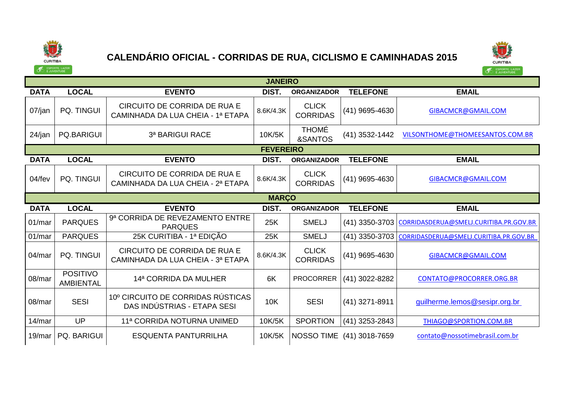

## **CALENDÁRIO OFICIAL - CORRIDAS DE RUA, CICLISMO E CAMINHADAS 2015**



|             | <b>JANEIRO</b>                      |                                                                   |                  |                                 |                           |                                        |  |  |  |
|-------------|-------------------------------------|-------------------------------------------------------------------|------------------|---------------------------------|---------------------------|----------------------------------------|--|--|--|
| <b>DATA</b> | <b>LOCAL</b>                        | <b>EVENTO</b>                                                     | DIST.            | <b>ORGANIZADOR</b>              | <b>TELEFONE</b>           | <b>EMAIL</b>                           |  |  |  |
| 07/jan      | PQ. TINGUI                          | CIRCUITO DE CORRIDA DE RUA E<br>CAMINHADA DA LUA CHEIA - 1ª ETAPA | 8.6K/4.3K        | <b>CLICK</b><br><b>CORRIDAS</b> | (41) 9695-4630            | GIBACMCR@GMAIL.COM                     |  |  |  |
| $24$ /jan   | <b>PQ.BARIGUI</b>                   | 3ª BARIGUI RACE                                                   | 10K/5K           | <b>THOMÉ</b><br>&SANTOS         | (41) 3532-1442            | VILSONTHOME@THOMEESANTOS.COM.BR        |  |  |  |
|             |                                     |                                                                   | <b>FEVEREIRO</b> |                                 |                           |                                        |  |  |  |
| <b>DATA</b> | <b>LOCAL</b>                        | <b>EVENTO</b>                                                     | DIST.            | <b>ORGANIZADOR</b>              | <b>TELEFONE</b>           | <b>EMAIL</b>                           |  |  |  |
| 04/fev      | PQ. TINGUI                          | CIRCUITO DE CORRIDA DE RUA E<br>CAMINHADA DA LUA CHEIA - 2ª ETAPA | 8.6K/4.3K        | <b>CLICK</b><br><b>CORRIDAS</b> | (41) 9695-4630            | GIBACMCR@GMAIL.COM                     |  |  |  |
|             |                                     |                                                                   | <b>MARCO</b>     |                                 |                           |                                        |  |  |  |
| <b>DATA</b> | <b>LOCAL</b>                        | <b>EVENTO</b>                                                     | DIST.            | <b>ORGANIZADOR</b>              | <b>TELEFONE</b>           | <b>EMAIL</b>                           |  |  |  |
| 01/mar      | <b>PARQUES</b>                      | 9ª CORRIDA DE REVEZAMENTO ENTRE<br><b>PARQUES</b>                 | 25K              | <b>SMELJ</b>                    | (41) 3350-3703            | CORRIDASDERUA@SMELJ.CURITIBA.PR.GOV.BR |  |  |  |
| 01/mar      | <b>PARQUES</b>                      | 25K CURITIBA - 1ª EDIÇÃO                                          | 25K              | <b>SMELJ</b>                    | (41) 3350-3703            | CORRIDASDERUA@SMELJ.CURITIBA.PR.GOV.BR |  |  |  |
| 04/mar      | <b>PQ. TINGUI</b>                   | CIRCUITO DE CORRIDA DE RUA E<br>CAMINHADA DA LUA CHEIA - 3ª ETAPA | 8.6K/4.3K        | <b>CLICK</b><br><b>CORRIDAS</b> | (41) 9695-4630            | GIBACMCR@GMAIL.COM                     |  |  |  |
| 08/mar      | <b>POSITIVO</b><br><b>AMBIENTAL</b> | 14ª CORRIDA DA MULHER                                             | 6K               | <b>PROCORRER</b>                | (41) 3022-8282            | CONTATO@PROCORRER.ORG.BR               |  |  |  |
| 08/mar      | <b>SESI</b>                         | 10° CIRCUITO DE CORRIDAS RÚSTICAS<br>DAS INDÚSTRIAS - ETAPA SESI  | <b>10K</b>       | <b>SESI</b>                     | (41) 3271-8911            | guilherme.lemos@sesipr.org.br          |  |  |  |
| 14/mar      | UP                                  | 11ª CORRIDA NOTURNA UNIMED                                        | 10K/5K           | <b>SPORTION</b>                 | (41) 3253-2843            | THIAGO@SPORTION.COM.BR                 |  |  |  |
| 19/mar      | <b>PQ. BARIGUI</b>                  | <b>ESQUENTA PANTURRILHA</b>                                       | 10K/5K           |                                 | NOSSO TIME (41) 3018-7659 | contato@nossotimebrasil.com.br         |  |  |  |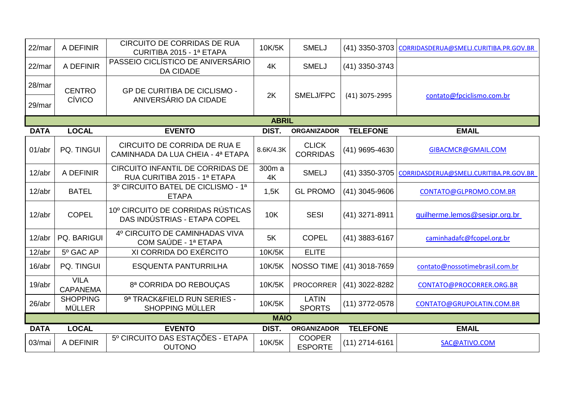| 22/mar      | A DEFINIR                        | <b>CIRCUITO DE CORRIDAS DE RUA</b><br>CURITIBA 2015 - 1ª ETAPA    | 10K/5K       | <b>SMELJ</b>                    |                  | (41) 3350-3703 CORRIDASDERUA@SMELJ.CURITIBA.PR.GOV.BR |
|-------------|----------------------------------|-------------------------------------------------------------------|--------------|---------------------------------|------------------|-------------------------------------------------------|
| 22/mar      | A DEFINIR                        | PASSEIO CICLÍSTICO DE ANIVERSÁRIO<br><b>DA CIDADE</b>             | 4K           | <b>SMELJ</b>                    | (41) 3350-3743   |                                                       |
| 28/mar      | <b>CENTRO</b>                    | <b>GP DE CURITIBA DE CICLISMO -</b>                               | 2K           | SMELJ/FPC                       | (41) 3075-2995   | contato@fpciclismo.com.br                             |
| 29/mar      | CÍVICO                           | ANIVERSÁRIO DA CIDADE                                             |              |                                 |                  |                                                       |
|             |                                  |                                                                   | <b>ABRIL</b> |                                 |                  |                                                       |
| <b>DATA</b> | <b>LOCAL</b>                     | <b>EVENTO</b>                                                     | DIST.        | <b>ORGANIZADOR</b>              | <b>TELEFONE</b>  | <b>EMAIL</b>                                          |
| 01/abr      | PQ. TINGUI                       | CIRCUITO DE CORRIDA DE RUA E<br>CAMINHADA DA LUA CHEIA - 4ª ETAPA | 8.6K/4.3K    | <b>CLICK</b><br><b>CORRIDAS</b> | (41) 9695-4630   | GIBACMCR@GMAIL.COM                                    |
| 12/abr      | A DEFINIR                        | CIRCUITO INFANTIL DE CORRIDAS DE<br>RUA CURITIBA 2015 - 1ª ETAPA  | 300m a<br>4K | <b>SMELJ</b>                    |                  | (41) 3350-3705 CORRIDASDERUA@SMELJ.CURITIBA.PR.GOV.BR |
| 12/abr      | <b>BATEL</b>                     | 3º CIRCUITO BATEL DE CICLISMO - 1ª<br><b>ETAPA</b>                | 1,5K         | <b>GL PROMO</b>                 | $(41)$ 3045-9606 | CONTATO@GLPROMO.COM.BR                                |
| 12/abr      | <b>COPEL</b>                     | 10° CIRCUITO DE CORRIDAS RÚSTICAS<br>DAS INDÚSTRIAS - ETAPA COPEL | <b>10K</b>   | <b>SESI</b>                     | (41) 3271-8911   | guilherme.lemos@sesipr.org.br                         |
| 12/abr      | PQ. BARIGUI                      | 4º CIRCUITO DE CAMINHADAS VIVA<br>COM SAÚDE - 1ª ETAPA            | 5K           | <b>COPEL</b>                    | (41) 3883-6167   | caminhadafc@fcopel.org.br                             |
| 12/abr      | 5º GAC AP                        | XI CORRIDA DO EXÉRCITO                                            | 10K/5K       | <b>ELITE</b>                    |                  |                                                       |
| 16/abr      | PQ. TINGUI                       | <b>ESQUENTA PANTURRILHA</b>                                       | 10K/5K       | NOSSO TIME                      | (41) 3018-7659   | contato@nossotimebrasil.com.br                        |
| 19/abr      | <b>VILA</b><br><b>CAPANEMA</b>   | 8ª CORRIDA DO REBOUÇAS                                            | 10K/5K       | <b>PROCORRER</b>                | (41) 3022-8282   | CONTATO@PROCORRER.ORG.BR                              |
| 26/abr      | <b>SHOPPING</b><br><b>MÜLLER</b> | 9ª TRACK&FIELD RUN SERIES -<br><b>SHOPPING MÜLLER</b>             | 10K/5K       | <b>LATIN</b><br><b>SPORTS</b>   | $(11)$ 3772-0578 | CONTATO@GRUPOLATIN.COM.BR                             |
|             |                                  |                                                                   | <b>MAIO</b>  |                                 |                  |                                                       |
| <b>DATA</b> | <b>LOCAL</b>                     | <b>EVENTO</b>                                                     | DIST.        | <b>ORGANIZADOR</b>              | <b>TELEFONE</b>  | <b>EMAIL</b>                                          |
| 03/mai      | A DEFINIR                        | 5º CIRCUITO DAS ESTAÇÕES - ETAPA<br><b>OUTONO</b>                 | 10K/5K       | <b>COOPER</b><br><b>ESPORTE</b> | $(11)$ 2714-6161 | SAC@ATIVO.COM                                         |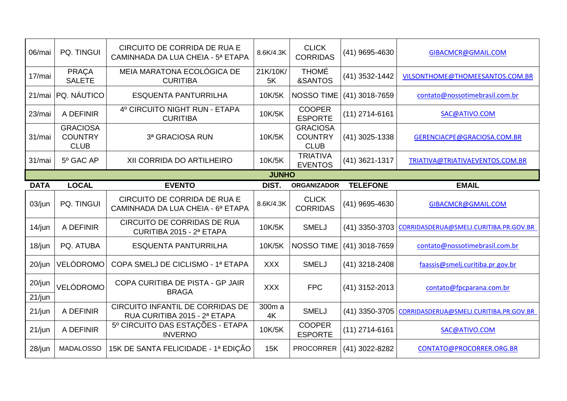| 06/mai      | PQ. TINGUI                                       | CIRCUITO DE CORRIDA DE RUA E<br>CAMINHADA DA LUA CHEIA - 5ª ETAPA | 8.6K/4.3K      | <b>CLICK</b><br><b>CORRIDAS</b>                  | (41) 9695-4630   | GIBACMCR@GMAIL.COM                     |  |  |  |
|-------------|--------------------------------------------------|-------------------------------------------------------------------|----------------|--------------------------------------------------|------------------|----------------------------------------|--|--|--|
| 17/mai      | PRAÇA<br><b>SALETE</b>                           | MEIA MARATONA ECOLÓGICA DE<br><b>CURITIBA</b>                     | 21K/10K/<br>5K | <b>THOMÉ</b><br>&SANTOS                          | (41) 3532-1442   | VILSONTHOME@THOMEESANTOS.COM.BR        |  |  |  |
| 21/mai      | <b>PQ. NÁUTICO</b>                               | <b>ESQUENTA PANTURRILHA</b>                                       | 10K/5K         | NOSSO TIME                                       | (41) 3018-7659   | contato@nossotimebrasil.com.br         |  |  |  |
| 23/mai      | A DEFINIR                                        | 4º CIRCUITO NIGHT RUN - ETAPA<br><b>CURITIBA</b>                  | 10K/5K         | <b>COOPER</b><br><b>ESPORTE</b>                  | $(11)$ 2714-6161 | SAC@ATIVO.COM                          |  |  |  |
| 31/mai      | <b>GRACIOSA</b><br><b>COUNTRY</b><br><b>CLUB</b> | 3ª GRACIOSA RUN                                                   | 10K/5K         | <b>GRACIOSA</b><br><b>COUNTRY</b><br><b>CLUB</b> | $(41)$ 3025-1338 | GERENCIACPE@GRACIOSA.COM.BR            |  |  |  |
| 31/mai      | 5º GAC AP                                        | XII CORRIDA DO ARTILHEIRO                                         | 10K/5K         | <b>TRIATIVA</b><br><b>EVENTOS</b>                | $(41)$ 3621-1317 | TRIATIVA@TRIATIVAEVENTOS.COM.BR        |  |  |  |
|             | <b>JUNHO</b>                                     |                                                                   |                |                                                  |                  |                                        |  |  |  |
| <b>DATA</b> | <b>LOCAL</b>                                     | <b>EVENTO</b>                                                     | DIST.          | <b>ORGANIZADOR</b>                               | <b>TELEFONE</b>  | <b>EMAIL</b>                           |  |  |  |
| 03/jun      | PQ. TINGUI                                       | CIRCUITO DE CORRIDA DE RUA E<br>CAMINHADA DA LUA CHEIA - 6ª ETAPA | 8.6K/4.3K      | <b>CLICK</b><br><b>CORRIDAS</b>                  | (41) 9695-4630   | GIBACMCR@GMAIL.COM                     |  |  |  |
| $14$ /jun   | A DEFINIR                                        | <b>CIRCUITO DE CORRIDAS DE RUA</b><br>CURITIBA 2015 - 2ª ETAPA    | 10K/5K         | <b>SMELJ</b>                                     | (41) 3350-3703   | CORRIDASDERUA@SMELJ.CURITIBA.PR.GOV.BR |  |  |  |
| 18/jun      | PQ. ATUBA                                        | <b>ESQUENTA PANTURRILHA</b>                                       | 10K/5K         | <b>NOSSO TIME</b>                                | (41) 3018-7659   | contato@nossotimebrasil.com.br         |  |  |  |
| $20$ /jun   | VELÓDROMO                                        | COPA SMELJ DE CICLISMO - 1ª ETAPA                                 | <b>XXX</b>     | <b>SMELJ</b>                                     | (41) 3218-2408   | faassis@smelj.curitiba.pr.gov.br       |  |  |  |
| 20/jun      | VELÓDROMO                                        | COPA CURITIBA DE PISTA - GP JAIR<br><b>BRAGA</b>                  | <b>XXX</b>     | <b>FPC</b>                                       | (41) 3152-2013   | contato@fpcparana.com.br               |  |  |  |
| 21/jun      |                                                  |                                                                   |                |                                                  |                  |                                        |  |  |  |
| 21/jun      | A DEFINIR                                        | CIRCUITO INFANTIL DE CORRIDAS DE<br>RUA CURITIBA 2015 - 2ª ETAPA  | 300m a<br>4K   | <b>SMELJ</b>                                     | (41) 3350-3705   | CORRIDASDERUA@SMELJ.CURITIBA.PR.GOV.BR |  |  |  |
| 21/jun      | A DEFINIR                                        | 5º CIRCUITO DAS ESTAÇÕES - ETAPA<br><b>INVERNO</b>                | 10K/5K         | <b>COOPER</b><br><b>ESPORTE</b>                  | $(11)$ 2714-6161 | SAC@ATIVO.COM                          |  |  |  |
| 28/jun      | <b>MADALOSSO</b>                                 | 15K DE SANTA FELICIDADE - 1ª EDIÇÃO                               | 15K            | <b>PROCORRER</b>                                 | (41) 3022-8282   | CONTATO@PROCORRER.ORG.BR               |  |  |  |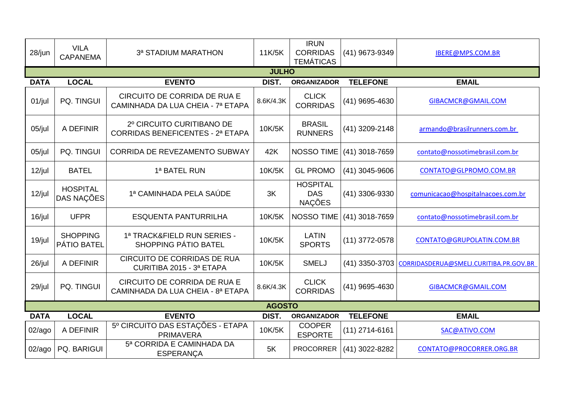| 28/jun      | <b>VILA</b><br><b>CAPANEMA</b> | 3ª STADIUM MARATHON                                                  | 11K/5K        | <b>IRUN</b><br><b>CORRIDAS</b><br><b>TEMÁTICAS</b> | (41) 9673-9349   | IBERE@MPS.COM.BR                       |
|-------------|--------------------------------|----------------------------------------------------------------------|---------------|----------------------------------------------------|------------------|----------------------------------------|
|             |                                |                                                                      | <b>JULHO</b>  |                                                    |                  |                                        |
| <b>DATA</b> | <b>LOCAL</b>                   | <b>EVENTO</b>                                                        | DIST.         | <b>ORGANIZADOR</b>                                 | <b>TELEFONE</b>  | <b>EMAIL</b>                           |
| $01$ /jul   | PQ. TINGUI                     | CIRCUITO DE CORRIDA DE RUA E<br>CAMINHADA DA LUA CHEIA - 7ª ETAPA    | 8.6K/4.3K     | <b>CLICK</b><br><b>CORRIDAS</b>                    | (41) 9695-4630   | GIBACMCR@GMAIL.COM                     |
| $05$ /jul   | A DEFINIR                      | 2º CIRCUITO CURITIBANO DE<br><b>CORRIDAS BENEFICENTES - 2ª ETAPA</b> | 10K/5K        | <b>BRASIL</b><br><b>RUNNERS</b>                    | (41) 3209-2148   | armando@brasilrunners.com.br           |
| $05$ /jul   | PQ. TINGUI                     | CORRIDA DE REVEZAMENTO SUBWAY                                        | 42K           | NOSSO TIME                                         | (41) 3018-7659   | contato@nossotimebrasil.com.br         |
| $12$ /jul   | <b>BATEL</b>                   | 1ª BATEL RUN                                                         | 10K/5K        | <b>GL PROMO</b>                                    | (41) 3045-9606   | CONTATO@GLPROMO.COM.BR                 |
| $12$ /jul   | <b>HOSPITAL</b><br>DAS NAÇÕES  | 1ª CAMINHADA PELA SAÚDE                                              | 3K            | <b>HOSPITAL</b><br><b>DAS</b><br>NAÇÕES            | (41) 3306-9330   | comunicacao@hospitalnacoes.com.br      |
| $16$ /jul   | <b>UFPR</b>                    | <b>ESQUENTA PANTURRILHA</b>                                          | 10K/5K        | <b>NOSSO TIME</b>                                  | (41) 3018-7659   | contato@nossotimebrasil.com.br         |
| $19$ /jul   | <b>SHOPPING</b><br>PÁTIO BATEL | 1ª TRACK&FIELD RUN SERIES -<br><b>SHOPPING PÁTIO BATEL</b>           | 10K/5K        | <b>LATIN</b><br><b>SPORTS</b>                      | $(11)$ 3772-0578 | CONTATO@GRUPOLATIN.COM.BR              |
| $26$ /jul   | A DEFINIR                      | <b>CIRCUITO DE CORRIDAS DE RUA</b><br>CURITIBA 2015 - 3ª ETAPA       | 10K/5K        | <b>SMELJ</b>                                       | (41) 3350-3703   | CORRIDASDERUA@SMELJ.CURITIBA.PR.GOV.BR |
| 29/jul      | PQ. TINGUI                     | CIRCUITO DE CORRIDA DE RUA E<br>CAMINHADA DA LUA CHEIA - 8ª ETAPA    | 8.6K/4.3K     | <b>CLICK</b><br><b>CORRIDAS</b>                    | (41) 9695-4630   | GIBACMCR@GMAIL.COM                     |
|             |                                |                                                                      | <b>AGOSTO</b> |                                                    |                  |                                        |
| <b>DATA</b> | <b>LOCAL</b>                   | <b>EVENTO</b>                                                        | DIST.         | <b>ORGANIZADOR</b>                                 | <b>TELEFONE</b>  | <b>EMAIL</b>                           |
| 02/ago      | A DEFINIR                      | 5º CIRCUITO DAS ESTAÇÕES - ETAPA<br><b>PRIMAVERA</b>                 | 10K/5K        | <b>COOPER</b><br><b>ESPORTE</b>                    | $(11)$ 2714-6161 | SAC@ATIVO.COM                          |
| 02/ago      | PQ. BARIGUI                    | 5ª CORRIDA E CAMINHADA DA<br><b>ESPERANÇA</b>                        | 5K            | <b>PROCORRER</b>                                   | (41) 3022-8282   | CONTATO@PROCORRER.ORG.BR               |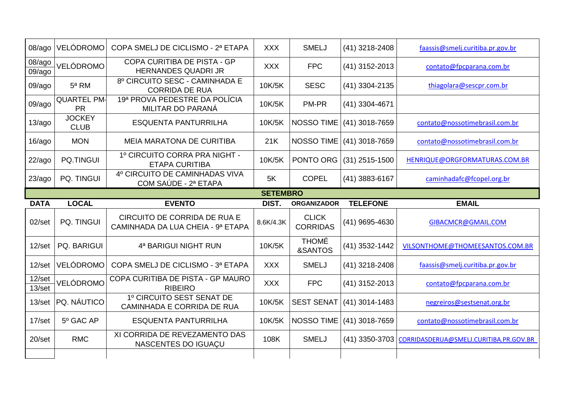| 08/ago                 | <b>VELÓDROMO</b>                | COPA SMELJ DE CICLISMO - 2ª ETAPA                                 | <b>XXX</b>      | <b>SMELJ</b>                    | (41) 3218-2408            | faassis@smelj.curitiba.pr.gov.br       |
|------------------------|---------------------------------|-------------------------------------------------------------------|-----------------|---------------------------------|---------------------------|----------------------------------------|
| 08/ago<br>09/ago       | VELÓDROMO                       | COPA CURITIBA DE PISTA - GP<br><b>HERNANDES QUADRI JR</b>         | <b>XXX</b>      | <b>FPC</b>                      | (41) 3152-2013            | contato@fpcparana.com.br               |
| 09/ago                 | $5a$ RM                         | 8º CIRCUITO SESC - CAMINHADA E<br><b>CORRIDA DE RUA</b>           | 10K/5K          | <b>SESC</b>                     | (41) 3304-2135            | thiagolara@sescpr.com.br               |
| 09/ago                 | <b>QUARTEL PM-</b><br><b>PR</b> | 19ª PROVA PEDESTRE DA POLÍCIA<br>MILITAR DO PARANÁ                | 10K/5K          | PM-PR                           | (41) 3304-4671            |                                        |
| 13/ago                 | <b>JOCKEY</b><br><b>CLUB</b>    | <b>ESQUENTA PANTURRILHA</b>                                       | 10K/5K          | NOSSO TIME                      | $(41)$ 3018-7659          | contato@nossotimebrasil.com.br         |
| 16/ago                 | <b>MON</b>                      | <b>MEIA MARATONA DE CURITIBA</b>                                  | 21K             |                                 | NOSSO TIME (41) 3018-7659 | contato@nossotimebrasil.com.br         |
| 22/ago                 | <b>PQ.TINGUI</b>                | 1º CIRCUITO CORRA PRA NIGHT -<br><b>ETAPA CURITIBA</b>            | 10K/5K          | PONTO ORG                       | $(31)$ 2515-1500          | HENRIQUE@ORGFORMATURAS.COM.BR          |
| 23/ago                 | PQ. TINGUI                      | 4º CIRCUITO DE CAMINHADAS VIVA<br>COM SAÚDE - 2ª ETAPA            | 5K              | <b>COPEL</b>                    | (41) 3883-6167            | caminhadafc@fcopel.org.br              |
|                        |                                 |                                                                   | <b>SETEMBRO</b> |                                 |                           |                                        |
|                        |                                 |                                                                   |                 |                                 |                           |                                        |
| <b>DATA</b>            | <b>LOCAL</b>                    | <b>EVENTO</b>                                                     | DIST.           | <b>ORGANIZADOR</b>              | <b>TELEFONE</b>           | <b>EMAIL</b>                           |
| 02/set                 | PQ. TINGUI                      | CIRCUITO DE CORRIDA DE RUA E<br>CAMINHADA DA LUA CHEIA - 9ª ETAPA | 8.6K/4.3K       | <b>CLICK</b><br><b>CORRIDAS</b> | (41) 9695-4630            | GIBACMCR@GMAIL.COM                     |
| $12$ /set              | <b>PQ. BARIGUI</b>              | 4ª BARIGUI NIGHT RUN                                              | 10K/5K          | <b>THOMÉ</b><br>&SANTOS         | (41) 3532-1442            | VILSONTHOME@THOMEESANTOS.COM.BR        |
| $12$ /set              | VELÓDROMO                       | COPA SMELJ DE CICLISMO - 3ª ETAPA                                 | <b>XXX</b>      | <b>SMELJ</b>                    | (41) 3218-2408            | faassis@smelj.curitiba.pr.gov.br       |
| $12$ /set<br>$13$ /set | VELÓDROMO                       | COPA CURITIBA DE PISTA - GP MAURO<br><b>RIBEIRO</b>               | <b>XXX</b>      | <b>FPC</b>                      | (41) 3152-2013            | contato@fpcparana.com.br               |
| $13$ /set              | PQ. NÁUTICO                     | 1º CIRCUITO SEST SENAT DE<br>CAMINHADA E CORRIDA DE RUA           | 10K/5K          | <b>SEST SENAT</b>               | $(41)$ 3014-1483          | negreiros@sestsenat.org.br             |
| 17/set                 | 5º GAC AP                       | <b>ESQUENTA PANTURRILHA</b>                                       | 10K/5K          |                                 | NOSSO TIME (41) 3018-7659 | contato@nossotimebrasil.com.br         |
| $20$ /set              | <b>RMC</b>                      | XI CORRIDA DE REVEZAMENTO DAS<br>NASCENTES DO IGUAÇU              | 108K            | <b>SMELJ</b>                    | (41) 3350-3703            | CORRIDASDERUA@SMELJ.CURITIBA.PR.GOV.BR |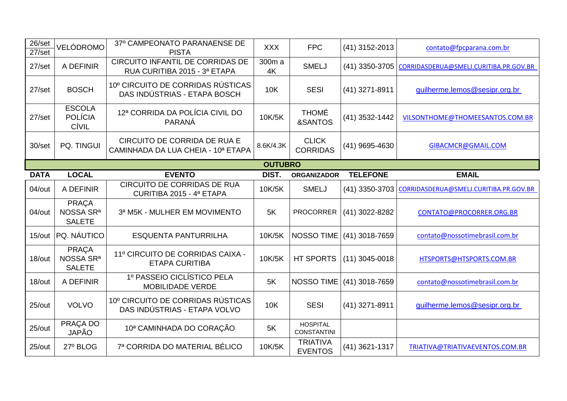| 26/set<br>$27$ /set | VELÓDROMO                                              | 37º CAMPEONATO PARANAENSE DE<br><b>PISTA</b>                       | <b>XXX</b>     | <b>FPC</b>                            | (41) 3152-2013   | contato@fpcparana.com.br               |
|---------------------|--------------------------------------------------------|--------------------------------------------------------------------|----------------|---------------------------------------|------------------|----------------------------------------|
| 27/set              | A DEFINIR                                              | CIRCUITO INFANTIL DE CORRIDAS DE<br>RUA CURITIBA 2015 - 3ª ETAPA   | 300m a<br>4K   | <b>SMELJ</b>                          | (41) 3350-3705   | CORRIDASDERUA@SMELJ.CURITIBA.PR.GOV.BR |
| $27$ /set           | <b>BOSCH</b>                                           | 10° CIRCUITO DE CORRIDAS RÚSTICAS<br>DAS INDÚSTRIAS - ETAPA BOSCH  | <b>10K</b>     | <b>SESI</b>                           | (41) 3271-8911   | guilherme.lemos@sesipr.org.br          |
| $27$ /set           | <b>ESCOLA</b><br><b>POLÍCIA</b><br>CÍVIL               | 12ª CORRIDA DA POLÍCIA CIVIL DO<br>PARANÁ                          | 10K/5K         | <b>THOMÉ</b><br>&SANTOS               | (41) 3532-1442   | VILSONTHOME@THOMEESANTOS.COM.BR        |
| 30/set              | PQ. TINGUI                                             | CIRCUITO DE CORRIDA DE RUA E<br>CAMINHADA DA LUA CHEIA - 10ª ETAPA | 8.6K/4.3K      | <b>CLICK</b><br><b>CORRIDAS</b>       | (41) 9695-4630   | GIBACMCR@GMAIL.COM                     |
|                     |                                                        |                                                                    | <b>OUTUBRO</b> |                                       |                  |                                        |
| <b>DATA</b>         | <b>LOCAL</b>                                           | <b>EVENTO</b>                                                      | DIST.          | <b>ORGANIZADOR</b>                    | <b>TELEFONE</b>  | <b>EMAIL</b>                           |
| 04/out              | A DEFINIR                                              | <b>CIRCUITO DE CORRIDAS DE RUA</b><br>CURITIBA 2015 - 4ª ETAPA     | 10K/5K         | <b>SMELJ</b>                          | (41) 3350-3703   | CORRIDASDERUA@SMELJ.CURITIBA.PR.GOV.BR |
|                     |                                                        |                                                                    |                |                                       |                  |                                        |
| 04/out              | <b>PRAÇA</b><br>NOSSA SR <sup>a</sup><br><b>SALETE</b> | 3ª M5K - MULHER EM MOVIMENTO                                       | 5K             | <b>PROCORRER</b>                      | (41) 3022-8282   | CONTATO@PROCORRER.ORG.BR               |
| 15/out              | PQ. NÁUTICO                                            | <b>ESQUENTA PANTURRILHA</b>                                        | 10K/5K         | <b>NOSSO TIME</b>                     | $(41)$ 3018-7659 | contato@nossotimebrasil.com.br         |
| 18/out              | <b>PRAÇA</b><br>NOSSA SR <sup>a</sup><br><b>SALETE</b> | 11º CIRCUITO DE CORRIDAS CAIXA -<br><b>ETAPA CURITIBA</b>          | 10K/5K         | <b>HT SPORTS</b>                      | $(11)$ 3045-0018 | HTSPORTS@HTSPORTS.COM.BR               |
| 18/out              | A DEFINIR                                              | 1º PASSEIO CICLÍSTICO PELA<br>MOBILIDADE VERDE                     | 5K             | <b>NOSSO TIME</b>                     | (41) 3018-7659   | contato@nossotimebrasil.com.br         |
| 25/out              | <b>VOLVO</b>                                           | 10° CIRCUITO DE CORRIDAS RÚSTICAS<br>DAS INDÚSTRIAS - ETAPA VOLVO  | <b>10K</b>     | <b>SESI</b>                           | (41) 3271-8911   | guilherme.lemos@sesipr.org.br          |
| 25/out              | PRAÇA DO<br><b>JAPÃO</b>                               | 10ª CAMINHADA DO CORAÇÃO                                           | 5K             | <b>HOSPITAL</b><br><b>CONSTANTINI</b> |                  |                                        |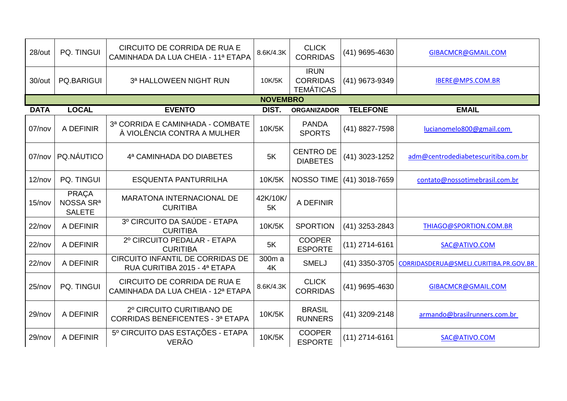| 28/out      | PQ. TINGUI                                             | CIRCUITO DE CORRIDA DE RUA E<br>CAMINHADA DA LUA CHEIA - 11ª ETAPA   | 8.6K/4.3K      | <b>CLICK</b><br><b>CORRIDAS</b>                    | (41) 9695-4630   | GIBACMCR@GMAIL.COM                     |  |  |  |
|-------------|--------------------------------------------------------|----------------------------------------------------------------------|----------------|----------------------------------------------------|------------------|----------------------------------------|--|--|--|
| 30/out      | <b>PQ.BARIGUI</b>                                      | 3ª HALLOWEEN NIGHT RUN                                               | 10K/5K         | <b>IRUN</b><br><b>CORRIDAS</b><br><b>TEMÁTICAS</b> | (41) 9673-9349   | IBERE@MPS.COM.BR                       |  |  |  |
|             | <b>NOVEMBRO</b>                                        |                                                                      |                |                                                    |                  |                                        |  |  |  |
| <b>DATA</b> | <b>LOCAL</b>                                           | <b>EVENTO</b>                                                        | DIST.          | <b>ORGANIZADOR</b>                                 | <b>TELEFONE</b>  | <b>EMAIL</b>                           |  |  |  |
| 07/nov      | A DEFINIR                                              | 3ª CORRIDA E CAMINHADA - COMBATE<br>À VIOLÊNCIA CONTRA A MULHER      | 10K/5K         | <b>PANDA</b><br><b>SPORTS</b>                      | (41) 8827-7598   | lucianomelo800@gmail.com               |  |  |  |
| 07/nov      | PQ.NÁUTICO                                             | 4ª CAMINHADA DO DIABETES                                             | 5K             | <b>CENTRO DE</b><br><b>DIABETES</b>                | (41) 3023-1252   | adm@centrodediabetescuritiba.com.br    |  |  |  |
| 12/nov      | <b>PQ. TINGUI</b>                                      | <b>ESQUENTA PANTURRILHA</b>                                          | 10K/5K         | <b>NOSSO TIME</b>                                  | $(41)$ 3018-7659 | contato@nossotimebrasil.com.br         |  |  |  |
| 15/nov      | <b>PRAÇA</b><br>NOSSA SR <sup>a</sup><br><b>SALETE</b> | <b>MARATONA INTERNACIONAL DE</b><br><b>CURITIBA</b>                  | 42K/10K/<br>5K | A DEFINIR                                          |                  |                                        |  |  |  |
| $22$ /nov   | A DEFINIR                                              | 3º CIRCUITO DA SAÚDE - ETAPA<br><b>CURITIBA</b>                      | 10K/5K         | <b>SPORTION</b>                                    | (41) 3253-2843   | THIAGO@SPORTION.COM.BR                 |  |  |  |
| $22$ /nov   | A DEFINIR                                              | 2º CIRCUITO PEDALAR - ETAPA<br><b>CURITIBA</b>                       | 5K             | <b>COOPER</b><br><b>ESPORTE</b>                    | $(11)$ 2714-6161 | SAC@ATIVO.COM                          |  |  |  |
| $22$ /nov   | A DEFINIR                                              | CIRCUITO INFANTIL DE CORRIDAS DE<br>RUA CURITIBA 2015 - 4ª ETAPA     | 300m a<br>4K   | <b>SMELJ</b>                                       | $(41)$ 3350-3705 | CORRIDASDERUA@SMELJ.CURITIBA.PR.GOV.BR |  |  |  |
| 25/nov      | PQ. TINGUI                                             | CIRCUITO DE CORRIDA DE RUA E<br>CAMINHADA DA LUA CHEIA - 12ª ETAPA   | 8.6K/4.3K      | <b>CLICK</b><br><b>CORRIDAS</b>                    | (41) 9695-4630   | GIBACMCR@GMAIL.COM                     |  |  |  |
| 29/nov      | A DEFINIR                                              | 2º CIRCUITO CURITIBANO DE<br><b>CORRIDAS BENEFICENTES - 3ª ETAPA</b> | 10K/5K         | <b>BRASIL</b><br><b>RUNNERS</b>                    | (41) 3209-2148   | armando@brasilrunners.com.br           |  |  |  |
| $29$ /nov   | A DEFINIR                                              | 5º CIRCUITO DAS ESTAÇÕES - ETAPA<br><b>VERÃO</b>                     | 10K/5K         | <b>COOPER</b><br><b>ESPORTE</b>                    | $(11)$ 2714-6161 | SAC@ATIVO.COM                          |  |  |  |